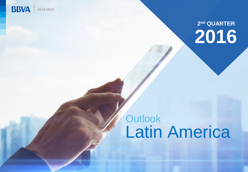

## **2 nd QUARTER 2016**

## Latin America **Outlook**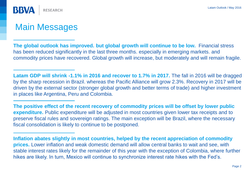

## Main Messages

**The global outlook has improved. but global growth will continue to be low.** Financial stress has been reduced significantly in the last three months. especially in emerging markets. and commodity prices have recovered. Global growth will increase, but moderately and will remain fragile.

**Latam GDP will shrink -1.1% in 2016 and recover to 1.7% in 2017.** The fall in 2016 will be dragged by the sharp recession in Brazil. whereas the Pacific Alliance will grow 2.3%. Recovery in 2017 will be driven by the external sector (stronger global growth and better terms of trade) and higher investment in places like Argentina, Peru and Colombia.

**The positive effect of the recent recovery of commodity prices will be offset by lower public expenditure.** Public expenditure will be adjusted in most countries given lower tax receipts and to preserve fiscal rules and sovereign ratings. The main exception will be Brazil, where the necessary fiscal consolidation is likely to continue to be postponed.

**Inflation abates slightly in most countries, helped by the recent appreciation of commodity prices.** Lower inflation and weak domestic demand will allow central banks to wait and see, with stable interest rates likely for the remainder of this year with the exception of Colombia, where further hikes are likely. In turn, Mexico will continue to synchronize interest rate hikes with the Fed's.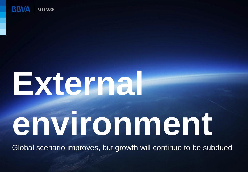

# **External environment**

Global scenario improves, but growth will continue to be subdued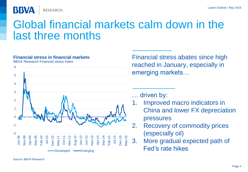**RESEARCH** 

**BBVA** 

## Global financial markets calm down in the last three months

#### **Financial stress in financial markets**

BBVA Research Financial stress index



Financial stress abates since high reached in January, especially in emerging markets…

… driven by:

- 1. Improved macro indicators in China and lower FX depreciation pressures
- 2. Recovery of commodity prices (especially oil)
- 3. More gradual expected path of Fed's rate hikes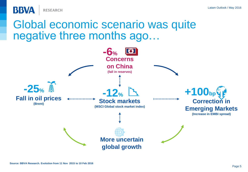

## Global economic scenario was quite negative three months ago…

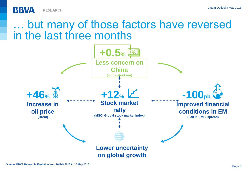

## but many of those factors have reversed in the last three months

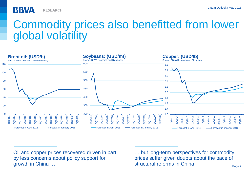**RESEARCH** 

**BBVA** 

## Commodity prices also benefitted from lower global volatility



Oil and copper prices recovered driven in part by less concerns about policy support for growth in China …

but long-term perspectives for commodity prices suffer given doubts about the pace of structural reforms in China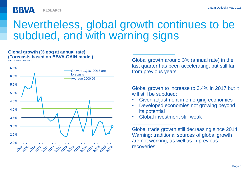**RESEARCH** 

## Nevertheless, global growth continues to be subdued, and with warning signs

#### **Global growth (% qoq at annual rate) (Forecasts based on BBVA-GAIN model)**

**BBVA** 



Source: BBVA Research Global growth around 3% (annual rate) in the last quarter has been accelerating, but still far from previous years

> Global growth to increase to 3.4% in 2017 but it will still be subdued:

- Given adjustment in emerging economies
- Developed economies not growing beyond its potential
- Global investment still weak

Global trade growth still decreasing since 2014. Warning: traditional sources of global growth are not working, as well as in previous recoveries.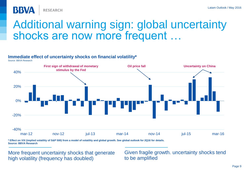

## Additional warning sign: global uncertainty shocks are now more frequent …

#### **Immediate effect of uncertainty shocks on financial volatility\***

Source: BBVA Research



**\* Effect on VIX (implied volatility of S&P 500) from a model of volatility and global growth. See global outlook for 2Q16 for details. Source: BBVA Research**

More frequent uncertainty shocks that generate high volatility (frequency has doubled)

Given fragile growth. uncertainty shocks tend to be amplified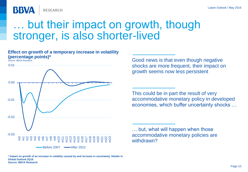**RESEARCH** 

## but their impact on growth, though stronger, is also shorter-lived

#### **Effect on growth of a temporary increase in volatility (percentage points)\***

Source: BBVA Research

BBVA



Good news is that even though negative shocks are more frequent, their impact on growth seems now less persistent

This could be in part the result of very accommodative monetary policy in developed economies, which buffer uncertainty shocks …

… but, what will happen when those accommodative monetary policies are withdrawn?

**\* Impact on growth of an increase in volatility caused by and increase in uncertainty. Details in Global Outlook 2Q16. Source: BBVA Research**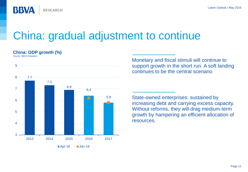

## China: gradual adjustment to continue

#### **China: GDP growth (%)**

Source: BBVA Research



Monetary and fiscal stimuli will continue to support growth in the short run. A soft landing continues to be the central scenario

State-owned enterprises: sustained by increasing debt and carrying excess capacity. Without reforms, they will drag medium-term growth by hampering an efficient allocation of resources.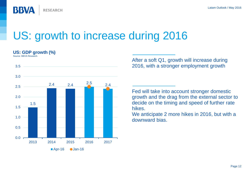

## US: growth to increase during 2016

#### **US: GDP growth (%)**

Source: BBVA Research



After a soft Q1, growth will increase during 2016, with a stronger employment growth

Fed will take into account stronger domestic growth and the drag from the external sector to decide on the timing and speed of further rate hikes.

We anticipate 2 more hikes in 2016, but with a downward bias.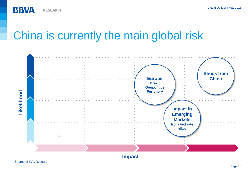

## China is currently the main global risk

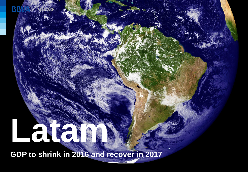## **Lating Contract of the Contract of the Contract of the Contract of the Contract of the Contract of the Contract of the Contract of the Contract of the Contract of the Contract of the Contract of the Contract of the Contra**

<span id="page-13-0"></span>**GDP to shrink in 2016 and recover in 2017**

Latam Outlook / May 2016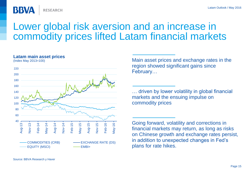

## Lower global risk aversion and an increase in commodity prices lifted Latam financial markets

#### **Latam main asset prices**

(Index May 2013=100)



Main asset prices and exchange rates in the region showed significant gains since February…

… driven by lower volatility in global financial markets and the ensuing impulse on commodity prices

Going forward, volatility and corrections in financial markets may return, as long as risks on Chinese growth and exchange rates persist, in addition to unexpected changes in Fed's plans for rate hikes.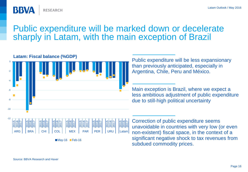

## Public expenditure will be marked down or decelerate sharply in Latam, with the main exception of Brazil



ARG | | BRA | | CHI | | COL | | MEX | PAR | PER | | URU | |Latam

Public expenditure will be less expansionary than previously anticipated, especially in Argentina, Chile, Peru and México.

Main exception is Brazil, where we expect a less ambitious adjustment of public expenditure due to still-high political uncertainty



Correction of public expenditure seems unavoidable in countries with very low (or even non-existent) fiscal space, in the context of a significant negative shock to tax revenues from subdued commodity prices.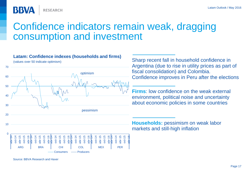**RESEARCH** 

## Confidence indicators remain weak, dragging consumption and investment

#### **Latam: Confidence indexes (households and firms)**



(values over 50 indicate optimism)

**BBVA** 

Sharp recent fall in household confidence in Argentina (due to rise in utility prices as part of fiscal consolidation) and Colombia. Confidence improves in Peru after the elections

**Firms**: low confidence on the weak external environment, political noise and uncertainty about economic policies in some countries

**Households:** pessimism on weak labor markets and still-high inflation

Source: BBVA Research and Haver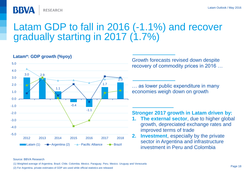

## Latam GDP to fall in 2016 (-1.1%) and recover gradually starting in 2017 (1.7%)



#### **Latam\*: GDP growth (%yoy)**

Growth forecasts revised down despite recovery of commodity prices in 2016 …

… as lower public expenditure in many economies weigh down on growth

#### **Stronger 2017 growth in Latam driven by:**

- **1. The external sector**, due to higher global growth, depreciated exchange rates and improved terms of trade
- **2. Investment**, especially by the private sector in Argentina and infrastructure investment in Peru and Colombia

#### Source: BBVA Research

(1) Weighted average of Argentina. Brazil. Chile. Colombia. Mexico. Paraguay. Peru. Mexico. Uruguay and Venezuela

(2) For Argentina. private estimates of GDP are used while official statistics are released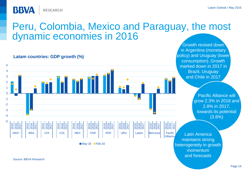

**BBVA** 

## Peru, Colombia, Mexico and Paraguay, the most dynamic economies in 2016



**Latam countries: GDP growth (%)**

Pacific Alliance will grow 2.3% in 2016 and 2.8% in 2017, towards its potential (3.8%)

Growth revised down in Argentina (monetary policy) and Uruguay (lower

Latin America maintains strong heterogeneity in growth momentum and forecasts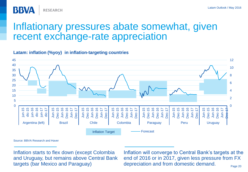

## Inflationary pressures abate somewhat, given recent exchange-rate appreciation

#### **Latam: inflation (%yoy) in inflation-targeting countries**



Source: BBVA Research and Haver

Inflation starts to flex down (except Colombia and Uruguay, but remains above Central Bank targets (bar Mexico and Paraguay)

Inflation will converge to Central Bank's targets at the end of 2016 or in 2017, given less pressure from FX depreciation and from domestic demand.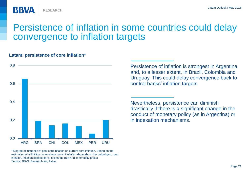

## Persistence of inflation in some countries could delay convergence to inflation targets

#### **Latam: persistence of core inflation\***



Persistence of inflation is strongest in Argentina and, to a lesser extent, in Brazil, Colombia and Uruguay. This could delay convergence back to central banks' inflation targets

Nevertheless, persistence can diminish drastically if there is a significant change in the conduct of monetary policy (as in Argentina) or in indexation mechanisms.

\* Degree of influence of past core inflation on current core inflation. Based on the estimation of a Phillips curve where current inflation depends on the output gap, past inflation, inflation expectations, exchange rate and commodity prices Source: BBVA Research and Haver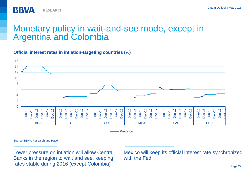

### Monetary policy in wait-and-see mode, except in Argentina and Colombia

#### **Official interest rates in inflation-targeting countries (%)**



Source: BBVA Research and Haver

Lower pressure on inflation will allow Central Banks in the region to wait and see, keeping rates stable during 2016 (except Colombia)

Mexico will keep its official interest rate synchronized with the Fed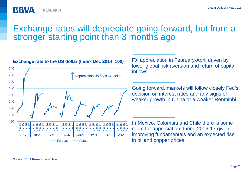### Exchange rates will depreciate going forward, but from a stronger starting point than 3 months ago



FX appreciation in February-April driven by lower global risk aversion and return of capital inflows

Going forward, markets will follow closely Fed's decision on interest rates and any signs of weaker growth in China or a weaker Renminbi.

In Mexico, Colombia and Chile there is some room for appreciation during 2016-17 given improving fundamentals and an expected rise in oil and copper prices.

**BBVA** 

**RESEARCH**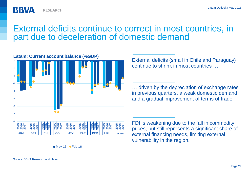External deficits continue to correct in most countries, in part due to deceleration of domestic demand



**Latam: Current account balance (%GDP)**

**RESEARCH** 

External deficits (small in Chile and Paraguay) continue to shrink in most countries …

… driven by the depreciation of exchange rates in previous quarters, a weak domestic demand and a gradual improvement of terms of trade



 $M$ ay-16  $\blacklozenge$  Feb-16

FDI is weakening due to the fall in commodity prices, but still represents a significant share of external financing needs, limiting external vulnerability in the region.

**BBVA**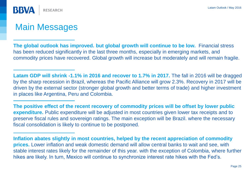

## Main Messages

**The global outlook has improved. but global growth will continue to be low.** Financial stress has been reduced significantly in the last three months, especially in emerging markets, and commodity prices have recovered. Global growth will increase but moderately and will remain fragile.

**Latam GDP will shrink -1.1% in 2016 and recover to 1.7% in 2017.** The fall in 2016 will be dragged by the sharp recession in Brazil, whereas the Pacific Alliance will grow 2.3%. Recovery in 2017 will be driven by the external sector (stronger global growth and better terms of trade) and higher investment in places like Argentina, Peru and Colombia.

**The positive effect of the recent recovery of commodity prices will be offset by lower public expenditure.** Public expenditure will be adjusted in most countries given lower tax receipts and to preserve fiscal rules and sovereign ratings. The main exception will be Brazil. where the necessary fiscal consolidation is likely to continue to be postponed.

**Inflation abates slightly in most countries, helped by the recent appreciation of commodity prices.** Lower inflation and weak domestic demand will allow central banks to wait and see, with stable interest rates likely for the remainder of this year. with the exception of Colombia, where further hikes are likely. In turn, Mexico will continue to synchronize interest rate hikes with the Fed's.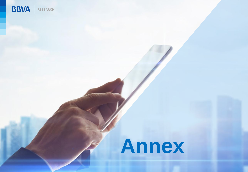

## **Annex**